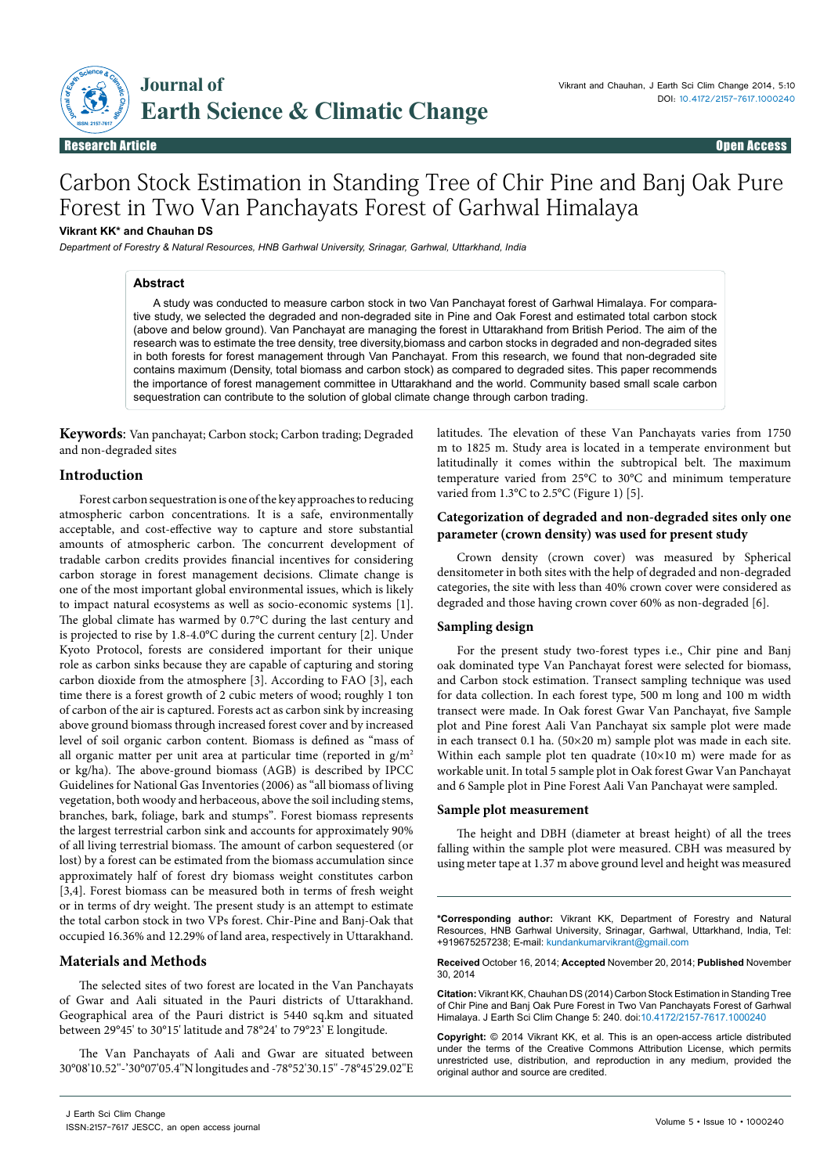

# Carbon Stock Estimation in Standing Tree of Chir Pine and Banj Oak Pure Forest in Two Van Panchayats Forest of Garhwal Himalaya

# **Vikrant KK\* and Chauhan DS**

*Department of Forestry & Natural Resources, HNB Garhwal University, Srinagar, Garhwal, Uttarkhand, India*

# **Abstract**

A study was conducted to measure carbon stock in two Van Panchayat forest of Garhwal Himalaya. For comparative study, we selected the degraded and non-degraded site in Pine and Oak Forest and estimated total carbon stock (above and below ground). Van Panchayat are managing the forest in Uttarakhand from British Period. The aim of the research was to estimate the tree density, tree diversity,biomass and carbon stocks in degraded and non-degraded sites in both forests for forest management through Van Panchayat. From this research, we found that non-degraded site contains maximum (Density, total biomass and carbon stock) as compared to degraded sites. This paper recommends the importance of forest management committee in Uttarakhand and the world. Community based small scale carbon sequestration can contribute to the solution of global climate change through carbon trading.

**Keywords**: Van panchayat; Carbon stock; Carbon trading; Degraded and non-degraded sites

# **Introduction**

Forest carbon sequestration is one of the key approaches to reducing atmospheric carbon concentrations. It is a safe, environmentally acceptable, and cost-effective way to capture and store substantial amounts of atmospheric carbon. The concurrent development of tradable carbon credits provides financial incentives for considering carbon storage in forest management decisions. Climate change is one of the most important global environmental issues, which is likely to impact natural ecosystems as well as socio-economic systems [1]. The global climate has warmed by 0.7°C during the last century and is projected to rise by 1.8-4.0°C during the current century [2]. Under Kyoto Protocol, forests are considered important for their unique role as carbon sinks because they are capable of capturing and storing carbon dioxide from the atmosphere [3]. According to FAO [3], each time there is a forest growth of 2 cubic meters of wood; roughly 1 ton of carbon of the air is captured. Forests act as carbon sink by increasing above ground biomass through increased forest cover and by increased level of soil organic carbon content. Biomass is defined as "mass of all organic matter per unit area at particular time (reported in  $g/m^2$ or kg/ha). The above-ground biomass (AGB) is described by IPCC Guidelines for National Gas Inventories (2006) as "all biomass of living vegetation, both woody and herbaceous, above the soil including stems, branches, bark, foliage, bark and stumps". Forest biomass represents the largest terrestrial carbon sink and accounts for approximately 90% of all living terrestrial biomass. The amount of carbon sequestered (or lost) by a forest can be estimated from the biomass accumulation since approximately half of forest dry biomass weight constitutes carbon [3,4]. Forest biomass can be measured both in terms of fresh weight or in terms of dry weight. The present study is an attempt to estimate the total carbon stock in two VPs forest. Chir-Pine and Banj-Oak that occupied 16.36% and 12.29% of land area, respectively in Uttarakhand.

# **Materials and Methods**

The selected sites of two forest are located in the Van Panchayats of Gwar and Aali situated in the Pauri districts of Uttarakhand. Geographical area of the Pauri district is 5440 sq.km and situated between 29°45' to 30°15' latitude and 78°24' to 79°23' E longitude.

The Van Panchayats of Aali and Gwar are situated between 30°08'10.52''-'30°07'05.4''N longitudes and -78°52'30.15'' -78°45'29.02''E latitudes. The elevation of these Van Panchayats varies from 1750 m to 1825 m. Study area is located in a temperate environment but latitudinally it comes within the subtropical belt. The maximum temperature varied from 25°C to 30°C and minimum temperature varied from 1.3°C to 2.5°C (Figure 1) [5].

# **Categorization of degraded and non-degraded sites only one parameter (crown density) was used for present study**

Crown density (crown cover) was measured by Spherical densitometer in both sites with the help of degraded and non-degraded categories, the site with less than 40% crown cover were considered as degraded and those having crown cover 60% as non-degraded [6].

#### **Sampling design**

For the present study two-forest types i.e., Chir pine and Banj oak dominated type Van Panchayat forest were selected for biomass, and Carbon stock estimation. Transect sampling technique was used for data collection. In each forest type, 500 m long and 100 m width transect were made. In Oak forest Gwar Van Panchayat, five Sample plot and Pine forest Aali Van Panchayat six sample plot were made in each transect 0.1 ha. (50×20 m) sample plot was made in each site. Within each sample plot ten quadrate (10×10 m) were made for as workable unit. In total 5 sample plot in Oak forest Gwar Van Panchayat and 6 Sample plot in Pine Forest Aali Van Panchayat were sampled.

#### **Sample plot measurement**

The height and DBH (diameter at breast height) of all the trees falling within the sample plot were measured. CBH was measured by using meter tape at 1.37 m above ground level and height was measured

**\*Corresponding author:** Vikrant KK, Department of Forestry and Natural Resources, HNB Garhwal University, Srinagar, Garhwal, Uttarkhand, India, Tel: +919675257238; E-mail: kundankumarvikrant@gmail.com

**Received** October 16, 2014; **Accepted** November 20, 2014; **Published** November 30, 2014

**Citation:** Vikrant KK, Chauhan DS (2014) Carbon Stock Estimation in Standing Tree of Chir Pine and Banj Oak Pure Forest in Two Van Panchayats Forest of Garhwal Himalaya. J Earth Sci Clim Change 5: 240. doi:10.4172/2157-7617.1000240

**Copyright:** © 2014 Vikrant KK, et al. This is an open-access article distributed under the terms of the Creative Commons Attribution License, which permits unrestricted use, distribution, and reproduction in any medium, provided the original author and source are credited.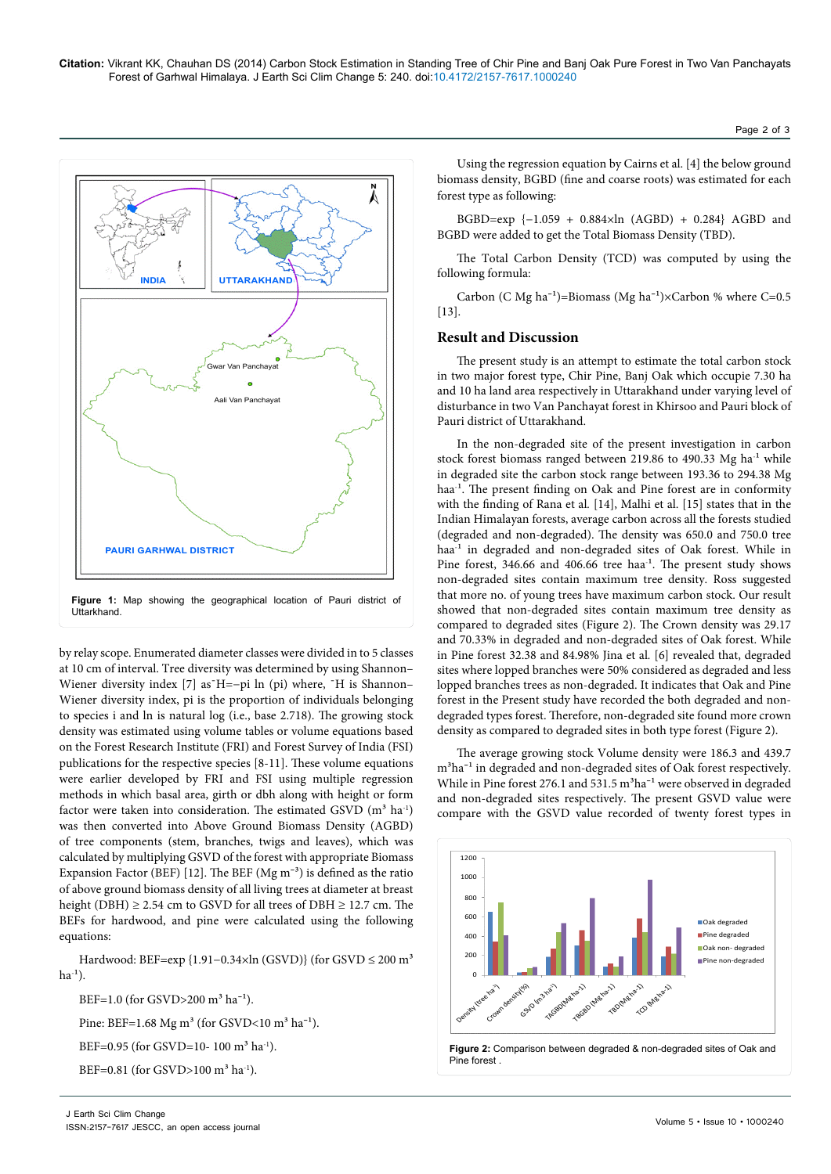

**Figure 1:** Map showing the geographical location of Pauri district of **Uttarkhand** 

by relay scope. Enumerated diameter classes were divided in to 5 classes at 10 cm of interval. Tree diversity was determined by using Shannon– Wiener diversity index [7] as¯H=−pi ln (pi) where, ¯H is Shannon– Wiener diversity index, pi is the proportion of individuals belonging to species i and ln is natural log (i.e., base 2.718). The growing stock density was estimated using volume tables or volume equations based on the Forest Research Institute (FRI) and Forest Survey of India (FSI) publications for the respective species [8-11]. These volume equations were earlier developed by FRI and FSI using multiple regression methods in which basal area, girth or dbh along with height or form factor were taken into consideration. The estimated GSVD  $(m<sup>3</sup> ha<sup>-1</sup>)$ was then converted into Above Ground Biomass Density (AGBD) of tree components (stem, branches, twigs and leaves), which was calculated by multiplying GSVD of the forest with appropriate Biomass Expansion Factor (BEF) [12]. The BEF (Mg  $m^{-3}$ ) is defined as the ratio of above ground biomass density of all living trees at diameter at breast height (DBH)  $\geq$  2.54 cm to GSVD for all trees of DBH  $\geq$  12.7 cm. The BEFs for hardwood, and pine were calculated using the following equations:

Hardwood: BEF=exp {1.91−0.34×ln (GSVD)} (for GSVD ≤ 200 m³  $\mathsf{ha}^{\text{-1}}$ ).

 $BEF=1.0$  (for GSVD>200 m<sup>3</sup> ha<sup>-1</sup>).

Pine: BEF=1.68 Mg m<sup>3</sup> (for GSVD<10 m<sup>3</sup> ha<sup>-1</sup>).

BEF=0.95 (for GSVD=10- 100 m<sup>3</sup> ha<sup>-1</sup>).

BEF=0.81 (for GSVD>100 m<sup>3</sup> ha<sup>-1</sup>).

Using the regression equation by Cairns et al. [4] the below ground biomass density, BGBD (fine and coarse roots) was estimated for each forest type as following:

BGBD=exp {−1.059 + 0.884×ln (AGBD) + 0.284} AGBD and BGBD were added to get the Total Biomass Density (TBD).

The Total Carbon Density (TCD) was computed by using the following formula:

Carbon (C Mg ha<sup>-1</sup>)=Biomass (Mg ha<sup>-1</sup>)×Carbon % where C=0.5 [13].

# **Result and Discussion**

The present study is an attempt to estimate the total carbon stock in two major forest type, Chir Pine, Banj Oak which occupie 7.30 ha and 10 ha land area respectively in Uttarakhand under varying level of disturbance in two Van Panchayat forest in Khirsoo and Pauri block of Pauri district of Uttarakhand.

In the non-degraded site of the present investigation in carbon stock forest biomass ranged between 219.86 to 490.33 Mg ha<sup>-1</sup> while in degraded site the carbon stock range between 193.36 to 294.38 Mg haa<sup>-1</sup>. The present finding on Oak and Pine forest are in conformity with the finding of Rana et al*.* [14], Malhi et al. [15] states that in the Indian Himalayan forests, average carbon across all the forests studied (degraded and non-degraded). The density was 650.0 and 750.0 tree haa- ¹ in degraded and non-degraded sites of Oak forest. While in Pine forest, 346.66 and 406.66 tree haa<sup>-1</sup>. The present study shows non-degraded sites contain maximum tree density. Ross suggested that more no. of young trees have maximum carbon stock. Our result showed that non-degraded sites contain maximum tree density as compared to degraded sites (Figure 2). The Crown density was 29.17 and 70.33% in degraded and non-degraded sites of Oak forest. While in Pine forest 32.38 and 84.98% Jina et al*.* [6] revealed that, degraded sites where lopped branches were 50% considered as degraded and less lopped branches trees as non-degraded. It indicates that Oak and Pine forest in the Present study have recorded the both degraded and nondegraded types forest. Therefore, non-degraded site found more crown density as compared to degraded sites in both type forest (Figure 2).

The average growing stock Volume density were 186.3 and 439.7 m<sup>3</sup>ha<sup>-1</sup> in degraded and non-degraded sites of Oak forest respectively. While in Pine forest 276.1 and 531.5  $m<sup>3</sup>$ ha<sup>-1</sup> were observed in degraded and non-degraded sites respectively. The present GSVD value were compare with the GSVD value recorded of twenty forest types in